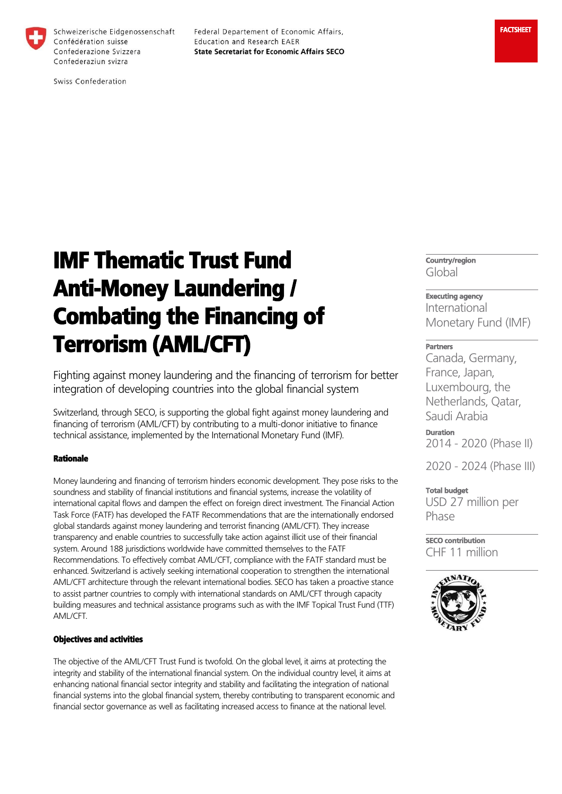

Schweizerische Eidgenossenschaft Confédération suisse Confederazione Svizzera Confederaziun svizra

Federal Departement of Economic Affairs, Education and Research EAER **State Secretariat for Economic Affairs SECO** 

# IMF Thematic Trust Fund Anti-Money Laundering / Combating the Financing of Terrorism (AML/CFT)

Fighting against money laundering and the financing of terrorism for better integration of developing countries into the global financial system

Switzerland, through SECO, is supporting the global fight against money laundering and financing of terrorism (AML/CFT) by contributing to a multi-donor initiative to finance technical assistance, implemented by the International Monetary Fund (IMF).

#### Rationale

Money laundering and financing of terrorism hinders economic development. They pose risks to the soundness and stability of financial institutions and financial systems, increase the volatility of international capital flows and dampen the effect on foreign direct investment. The Financial Action Task Force (FATF) has developed the FATF Recommendations that are the internationally endorsed global standards against money laundering and terrorist financing (AML/CFT). They increase transparency and enable countries to successfully take action against illicit use of their financial system. Around 188 jurisdictions worldwide have committed themselves to the FATF Recommendations. To effectively combat AML/CFT, compliance with the FATF standard must be enhanced. Switzerland is actively seeking international cooperation to strengthen the international AML/CFT architecture through the relevant international bodies. SECO has taken a proactive stance to assist partner countries to comply with international standards on AML/CFT through capacity building measures and technical assistance programs such as with the IMF Topical Trust Fund (TTF) AML/CFT.

#### Objectives and activities

The objective of the AML/CFT Trust Fund is twofold. On the global level, it aims at protecting the integrity and stability of the international financial system. On the individual country level, it aims at enhancing national financial sector integrity and stability and facilitating the integration of national financial systems into the global financial system, thereby contributing to transparent economic and financial sector governance as well as facilitating increased access to finance at the national level.

**Country/region**  Global

## **Executing agency**

International Monetary Fund (IMF)

### **Partners**

Canada, Germany, France, Japan, Luxembourg, the Netherlands, Qatar, Saudi Arabia

**Duration**  2014 - 2020 (Phase II)

2020 - 2024 (Phase III)

#### **Total budget**

USD 27 million per Phase

**SECO contribution**  CHF 11 million